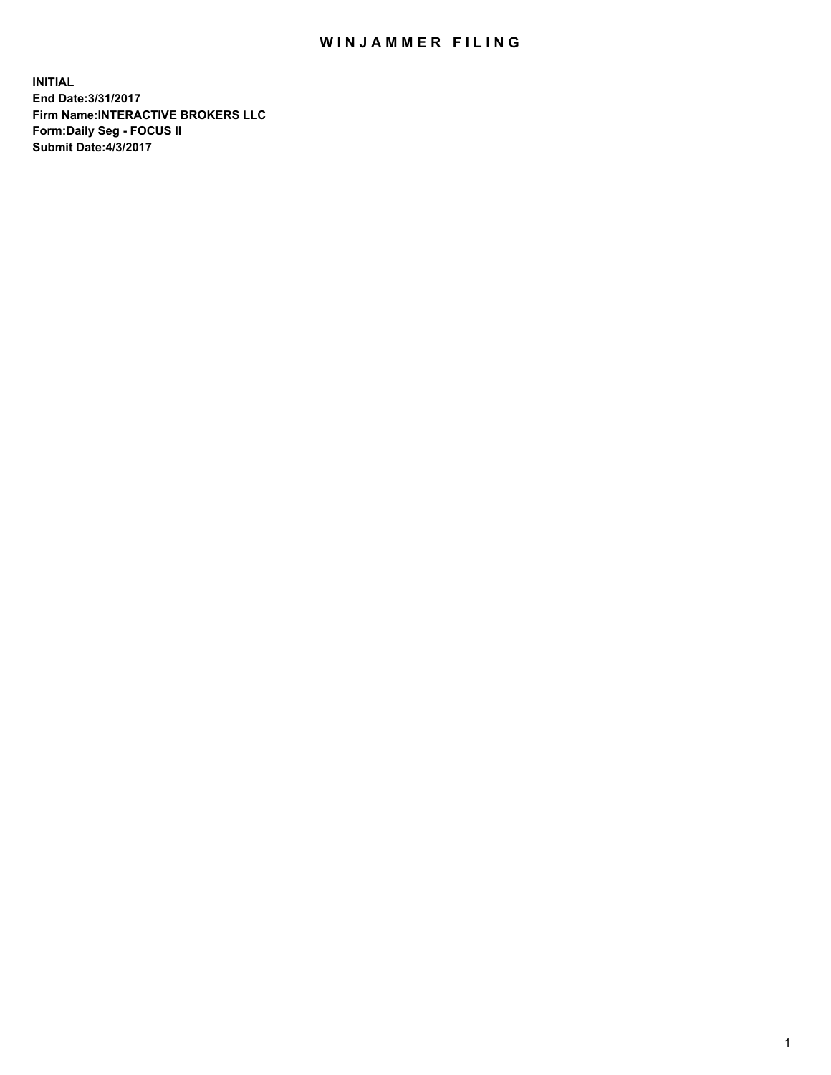## WIN JAMMER FILING

**INITIAL End Date:3/31/2017 Firm Name:INTERACTIVE BROKERS LLC Form:Daily Seg - FOCUS II Submit Date:4/3/2017**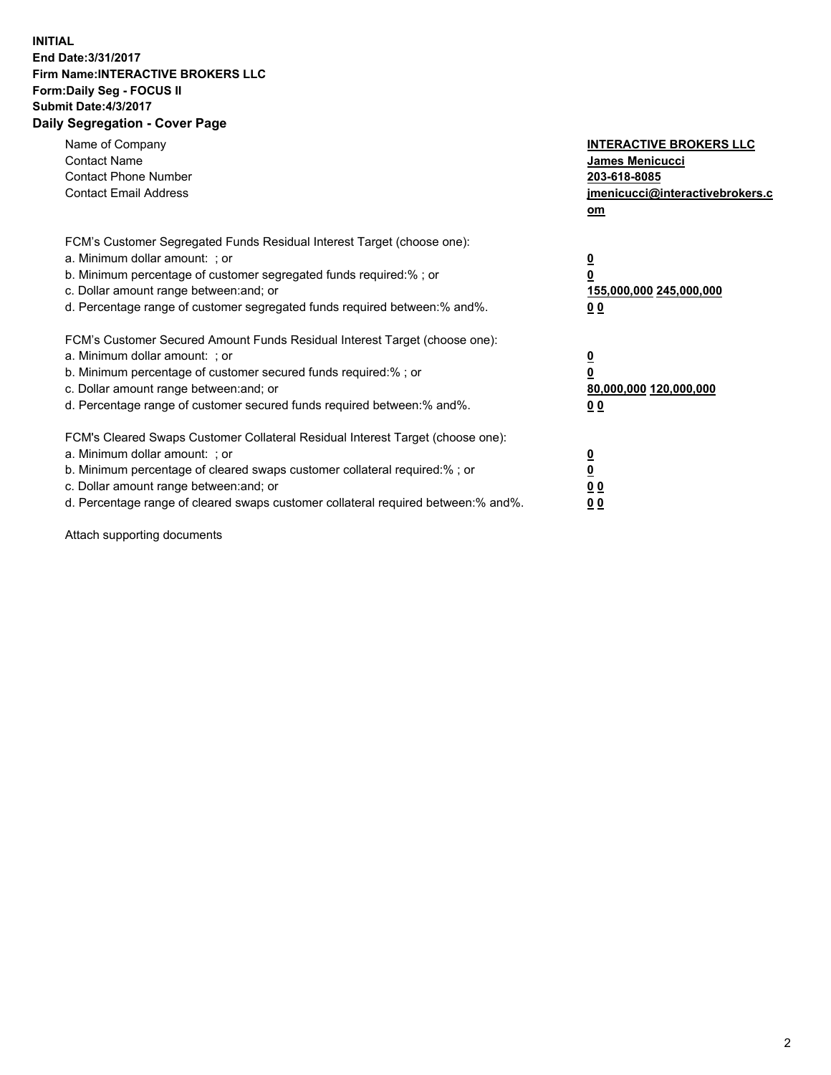## **INITIAL End Date:3/31/2017 Firm Name:INTERACTIVE BROKERS LLC Form:Daily Seg - FOCUS II Submit Date:4/3/2017 Daily Segregation - Cover Page**

| Name of Company<br><b>Contact Name</b><br><b>Contact Phone Number</b><br><b>Contact Email Address</b>                                                                                                                                                                                                                          | <b>INTERACTIVE BROKERS LLC</b><br>James Menicucci<br>203-618-8085<br>jmenicucci@interactivebrokers.c<br>om |
|--------------------------------------------------------------------------------------------------------------------------------------------------------------------------------------------------------------------------------------------------------------------------------------------------------------------------------|------------------------------------------------------------------------------------------------------------|
| FCM's Customer Segregated Funds Residual Interest Target (choose one):<br>a. Minimum dollar amount: ; or<br>b. Minimum percentage of customer segregated funds required:% ; or<br>c. Dollar amount range between: and; or<br>d. Percentage range of customer segregated funds required between:% and%.                         | $\overline{\mathbf{0}}$<br><u>155,000,000 245,000,000</u><br>0 <sub>0</sub>                                |
| FCM's Customer Secured Amount Funds Residual Interest Target (choose one):<br>a. Minimum dollar amount: ; or<br>b. Minimum percentage of customer secured funds required:%; or<br>c. Dollar amount range between: and; or<br>d. Percentage range of customer secured funds required between:% and%.                            | $\overline{\mathbf{0}}$<br>0<br>80,000,000 120,000,000<br>0 <sub>0</sub>                                   |
| FCM's Cleared Swaps Customer Collateral Residual Interest Target (choose one):<br>a. Minimum dollar amount: ; or<br>b. Minimum percentage of cleared swaps customer collateral required:% ; or<br>c. Dollar amount range between: and; or<br>d. Percentage range of cleared swaps customer collateral required between:% and%. | $\overline{\mathbf{0}}$<br>$\underline{\mathbf{0}}$<br>0 <sub>0</sub><br><u>00</u>                         |

Attach supporting documents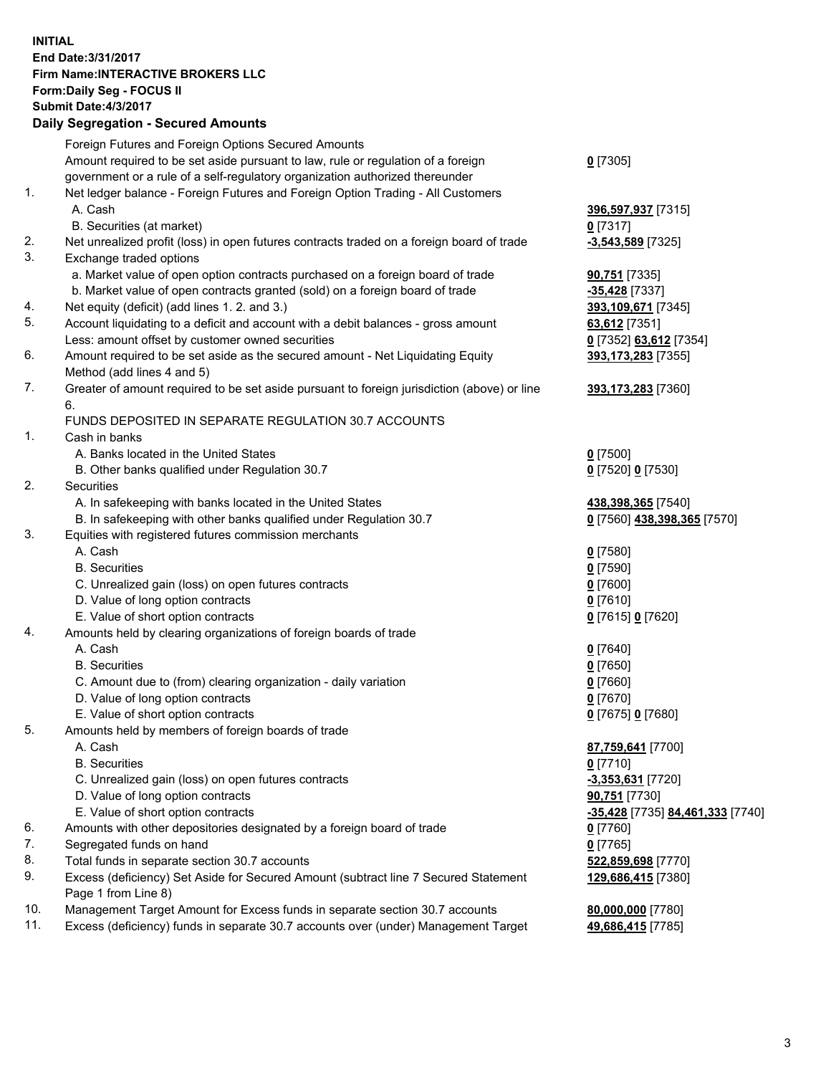## **INITIAL End Date:3/31/2017 Firm Name:INTERACTIVE BROKERS LLC Form:Daily Seg - FOCUS II Submit Date:4/3/2017 Daily Segregation - Secured Amounts**

|     | Foreign Futures and Foreign Options Secured Amounts                                                        |                                  |
|-----|------------------------------------------------------------------------------------------------------------|----------------------------------|
|     | Amount required to be set aside pursuant to law, rule or regulation of a foreign                           | $0$ [7305]                       |
|     | government or a rule of a self-regulatory organization authorized thereunder                               |                                  |
| 1.  | Net ledger balance - Foreign Futures and Foreign Option Trading - All Customers                            |                                  |
|     | A. Cash                                                                                                    | 396,597,937 [7315]               |
|     | B. Securities (at market)                                                                                  | $0$ [7317]                       |
| 2.  | Net unrealized profit (loss) in open futures contracts traded on a foreign board of trade                  | $-3,543,589$ [7325]              |
| 3.  | Exchange traded options                                                                                    |                                  |
|     | a. Market value of open option contracts purchased on a foreign board of trade                             | 90,751 [7335]                    |
|     | b. Market value of open contracts granted (sold) on a foreign board of trade                               | -35,428 [7337]                   |
| 4.  | Net equity (deficit) (add lines 1.2. and 3.)                                                               | 393,109,671 [7345]               |
| 5.  | Account liquidating to a deficit and account with a debit balances - gross amount                          | 63,612 [7351]                    |
|     | Less: amount offset by customer owned securities                                                           | 0 [7352] 63,612 [7354]           |
| 6.  | Amount required to be set aside as the secured amount - Net Liquidating Equity                             | 393,173,283 [7355]               |
|     | Method (add lines 4 and 5)                                                                                 |                                  |
| 7.  | Greater of amount required to be set aside pursuant to foreign jurisdiction (above) or line                | 393,173,283 [7360]               |
|     | 6.                                                                                                         |                                  |
|     | FUNDS DEPOSITED IN SEPARATE REGULATION 30.7 ACCOUNTS                                                       |                                  |
| 1.  | Cash in banks                                                                                              |                                  |
|     | A. Banks located in the United States                                                                      | $0$ [7500]                       |
|     | B. Other banks qualified under Regulation 30.7                                                             | 0 [7520] 0 [7530]                |
| 2.  | Securities                                                                                                 |                                  |
|     | A. In safekeeping with banks located in the United States                                                  | 438,398,365 [7540]               |
|     | B. In safekeeping with other banks qualified under Regulation 30.7                                         | 0 [7560] 438,398,365 [7570]      |
| 3.  | Equities with registered futures commission merchants                                                      |                                  |
|     | A. Cash                                                                                                    | $0$ [7580]                       |
|     | <b>B.</b> Securities                                                                                       | $0$ [7590]                       |
|     | C. Unrealized gain (loss) on open futures contracts                                                        | $0$ [7600]                       |
|     | D. Value of long option contracts                                                                          | $0$ [7610]                       |
|     | E. Value of short option contracts                                                                         | 0 [7615] 0 [7620]                |
| 4.  | Amounts held by clearing organizations of foreign boards of trade                                          |                                  |
|     | A. Cash                                                                                                    | $0$ [7640]                       |
|     | <b>B.</b> Securities                                                                                       | $0$ [7650]                       |
|     | C. Amount due to (from) clearing organization - daily variation                                            | $0$ [7660]                       |
|     | D. Value of long option contracts                                                                          | $0$ [7670]                       |
|     | E. Value of short option contracts                                                                         | 0 [7675] 0 [7680]                |
| 5.  | Amounts held by members of foreign boards of trade                                                         |                                  |
|     | A. Cash                                                                                                    | 87,759,641 [7700]                |
|     | <b>B.</b> Securities                                                                                       | $0$ [7710]                       |
|     | C. Unrealized gain (loss) on open futures contracts                                                        | $-3,353,631$ [7720]              |
|     | D. Value of long option contracts                                                                          | 90,751 [7730]                    |
|     | E. Value of short option contracts                                                                         | -35,428 [7735] 84,461,333 [7740] |
| 6.  | Amounts with other depositories designated by a foreign board of trade                                     | $0$ [7760]                       |
| 7.  | Segregated funds on hand                                                                                   | $0$ [7765]                       |
| 8.  | Total funds in separate section 30.7 accounts                                                              | 522,859,698 [7770]               |
| 9.  | Excess (deficiency) Set Aside for Secured Amount (subtract line 7 Secured Statement<br>Page 1 from Line 8) | 129,686,415 [7380]               |
| 10. | Management Target Amount for Excess funds in separate section 30.7 accounts                                | 80,000,000 [7780]                |
| 11. | Excess (deficiency) funds in separate 30.7 accounts over (under) Management Target                         | 49,686,415 [7785]                |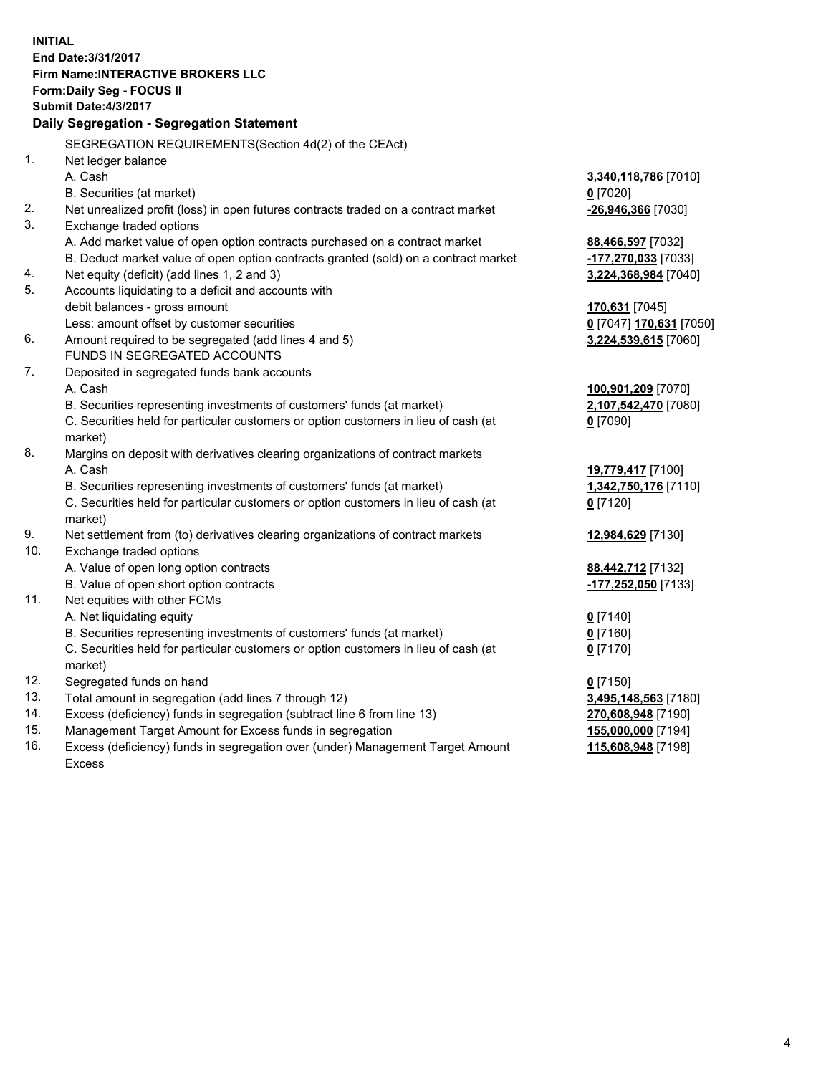**INITIAL End Date:3/31/2017 Firm Name:INTERACTIVE BROKERS LLC Form:Daily Seg - FOCUS II Submit Date:4/3/2017 Daily Segregation - Segregation Statement** SEGREGATION REQUIREMENTS(Section 4d(2) of the CEAct) 1. Net ledger balance A. Cash **3,340,118,786** [7010] B. Securities (at market) **0** [7020] 2. Net unrealized profit (loss) in open futures contracts traded on a contract market **-26,946,366** [7030] 3. Exchange traded options A. Add market value of open option contracts purchased on a contract market **88,466,597** [7032] B. Deduct market value of open option contracts granted (sold) on a contract market **-177,270,033** [7033] 4. Net equity (deficit) (add lines 1, 2 and 3) **3,224,368,984** [7040] 5. Accounts liquidating to a deficit and accounts with debit balances - gross amount **170,631** [7045] Less: amount offset by customer securities **0** [7047] **170,631** [7050] 6. Amount required to be segregated (add lines 4 and 5) **3,224,539,615** [7060] FUNDS IN SEGREGATED ACCOUNTS 7. Deposited in segregated funds bank accounts A. Cash **100,901,209** [7070] B. Securities representing investments of customers' funds (at market) **2,107,542,470** [7080] C. Securities held for particular customers or option customers in lieu of cash (at market) **0** [7090] 8. Margins on deposit with derivatives clearing organizations of contract markets A. Cash **19,779,417** [7100] B. Securities representing investments of customers' funds (at market) **1,342,750,176** [7110] C. Securities held for particular customers or option customers in lieu of cash (at market) **0** [7120] 9. Net settlement from (to) derivatives clearing organizations of contract markets **12,984,629** [7130] 10. Exchange traded options A. Value of open long option contracts **88,442,712** [7132] B. Value of open short option contracts **-177,252,050** [7133] 11. Net equities with other FCMs A. Net liquidating equity **0** [7140] B. Securities representing investments of customers' funds (at market) **0** [7160] C. Securities held for particular customers or option customers in lieu of cash (at market) **0** [7170] 12. Segregated funds on hand **0** [7150] 13. Total amount in segregation (add lines 7 through 12) **3,495,148,563** [7180] 14. Excess (deficiency) funds in segregation (subtract line 6 from line 13) **270,608,948** [7190] 15. Management Target Amount for Excess funds in segregation **155,000,000** [7194] 16. Excess (deficiency) funds in segregation over (under) Management Target Amount **115,608,948** [7198]

Excess